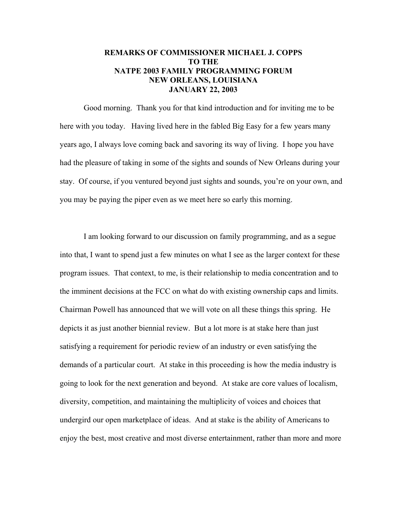## **REMARKS OF COMMISSIONER MICHAEL J. COPPS TO THE NATPE 2003 FAMILY PROGRAMMING FORUM NEW ORLEANS, LOUISIANA JANUARY 22, 2003**

Good morning. Thank you for that kind introduction and for inviting me to be here with you today. Having lived here in the fabled Big Easy for a few years many years ago, I always love coming back and savoring its way of living. I hope you have had the pleasure of taking in some of the sights and sounds of New Orleans during your stay. Of course, if you ventured beyond just sights and sounds, you're on your own, and you may be paying the piper even as we meet here so early this morning.

I am looking forward to our discussion on family programming, and as a segue into that, I want to spend just a few minutes on what I see as the larger context for these program issues. That context, to me, is their relationship to media concentration and to the imminent decisions at the FCC on what do with existing ownership caps and limits. Chairman Powell has announced that we will vote on all these things this spring. He depicts it as just another biennial review. But a lot more is at stake here than just satisfying a requirement for periodic review of an industry or even satisfying the demands of a particular court. At stake in this proceeding is how the media industry is going to look for the next generation and beyond. At stake are core values of localism, diversity, competition, and maintaining the multiplicity of voices and choices that undergird our open marketplace of ideas. And at stake is the ability of Americans to enjoy the best, most creative and most diverse entertainment, rather than more and more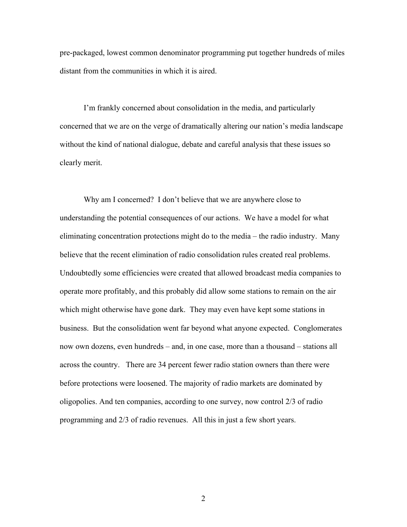pre-packaged, lowest common denominator programming put together hundreds of miles distant from the communities in which it is aired.

 I'm frankly concerned about consolidation in the media, and particularly concerned that we are on the verge of dramatically altering our nation's media landscape without the kind of national dialogue, debate and careful analysis that these issues so clearly merit.

Why am I concerned? I don't believe that we are anywhere close to understanding the potential consequences of our actions. We have a model for what eliminating concentration protections might do to the media – the radio industry. Many believe that the recent elimination of radio consolidation rules created real problems. Undoubtedly some efficiencies were created that allowed broadcast media companies to operate more profitably, and this probably did allow some stations to remain on the air which might otherwise have gone dark. They may even have kept some stations in business. But the consolidation went far beyond what anyone expected. Conglomerates now own dozens, even hundreds – and, in one case, more than a thousand – stations all across the country. There are 34 percent fewer radio station owners than there were before protections were loosened. The majority of radio markets are dominated by oligopolies. And ten companies, according to one survey, now control 2/3 of radio programming and 2/3 of radio revenues. All this in just a few short years.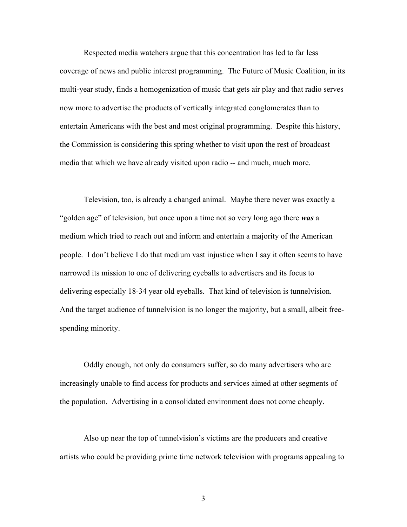Respected media watchers argue that this concentration has led to far less coverage of news and public interest programming. The Future of Music Coalition, in its multi-year study, finds a homogenization of music that gets air play and that radio serves now more to advertise the products of vertically integrated conglomerates than to entertain Americans with the best and most original programming. Despite this history, the Commission is considering this spring whether to visit upon the rest of broadcast media that which we have already visited upon radio -- and much, much more.

Television, too, is already a changed animal. Maybe there never was exactly a "golden age" of television, but once upon a time not so very long ago there *was* a medium which tried to reach out and inform and entertain a majority of the American people. I don't believe I do that medium vast injustice when I say it often seems to have narrowed its mission to one of delivering eyeballs to advertisers and its focus to delivering especially 18-34 year old eyeballs. That kind of television is tunnelvision. And the target audience of tunnelvision is no longer the majority, but a small, albeit freespending minority.

Oddly enough, not only do consumers suffer, so do many advertisers who are increasingly unable to find access for products and services aimed at other segments of the population. Advertising in a consolidated environment does not come cheaply.

Also up near the top of tunnelvision's victims are the producers and creative artists who could be providing prime time network television with programs appealing to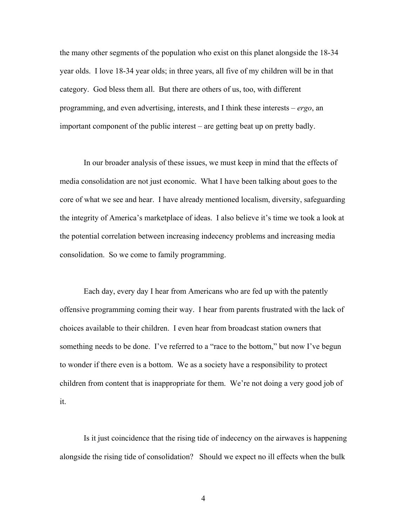the many other segments of the population who exist on this planet alongside the 18-34 year olds. I love 18-34 year olds; in three years, all five of my children will be in that category. God bless them all. But there are others of us, too, with different programming, and even advertising, interests, and I think these interests – *ergo*, an important component of the public interest – are getting beat up on pretty badly.

In our broader analysis of these issues, we must keep in mind that the effects of media consolidation are not just economic. What I have been talking about goes to the core of what we see and hear. I have already mentioned localism, diversity, safeguarding the integrity of America's marketplace of ideas. I also believe it's time we took a look at the potential correlation between increasing indecency problems and increasing media consolidation. So we come to family programming.

Each day, every day I hear from Americans who are fed up with the patently offensive programming coming their way. I hear from parents frustrated with the lack of choices available to their children. I even hear from broadcast station owners that something needs to be done. I've referred to a "race to the bottom," but now I've begun to wonder if there even is a bottom. We as a society have a responsibility to protect children from content that is inappropriate for them. We're not doing a very good job of it.

Is it just coincidence that the rising tide of indecency on the airwaves is happening alongside the rising tide of consolidation? Should we expect no ill effects when the bulk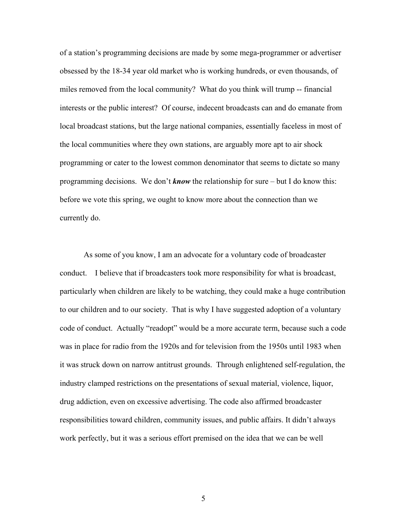of a station's programming decisions are made by some mega-programmer or advertiser obsessed by the 18-34 year old market who is working hundreds, or even thousands, of miles removed from the local community? What do you think will trump -- financial interests or the public interest? Of course, indecent broadcasts can and do emanate from local broadcast stations, but the large national companies, essentially faceless in most of the local communities where they own stations, are arguably more apt to air shock programming or cater to the lowest common denominator that seems to dictate so many programming decisions. We don't *know* the relationship for sure – but I do know this: before we vote this spring, we ought to know more about the connection than we currently do.

As some of you know, I am an advocate for a voluntary code of broadcaster conduct. I believe that if broadcasters took more responsibility for what is broadcast, particularly when children are likely to be watching, they could make a huge contribution to our children and to our society. That is why I have suggested adoption of a voluntary code of conduct. Actually "readopt" would be a more accurate term, because such a code was in place for radio from the 1920s and for television from the 1950s until 1983 when it was struck down on narrow antitrust grounds. Through enlightened self-regulation, the industry clamped restrictions on the presentations of sexual material, violence, liquor, drug addiction, even on excessive advertising. The code also affirmed broadcaster responsibilities toward children, community issues, and public affairs. It didn't always work perfectly, but it was a serious effort premised on the idea that we can be well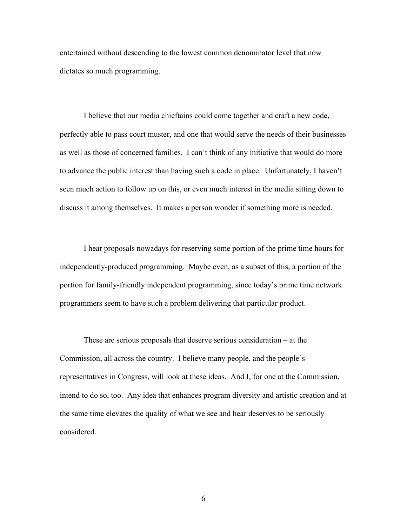entertained without descending to the lowest common denominator level that now dictates so much programming.

I believe that our media chieftains could come together and craft a new code, perfectly able to pass court muster, and one that would serve the needs of their businesses as well as those of concerned families. I can't think of any initiative that would do more to advance the public interest than having such a code in place. Unfortunately, I haven't seen much action to follow up on this, or even much interest in the media sitting down to discuss it among themselves. It makes a person wonder if something more is needed.

I hear proposals nowadays for reserving some portion of the prime time hours for independently-produced programming. Maybe even, as a subset of this, a portion of the portion for family-friendly independent programming, since today's prime time network programmers seem to have such a problem delivering that particular product.

These are serious proposals that deserve serious consideration – at the Commission, all across the country. I believe many people, and the people's representatives in Congress, will look at these ideas. And I, for one at the Commission, intend to do so, too. Any idea that enhances program diversity and artistic creation and at the same time elevates the quality of what we see and hear deserves to be seriously considered.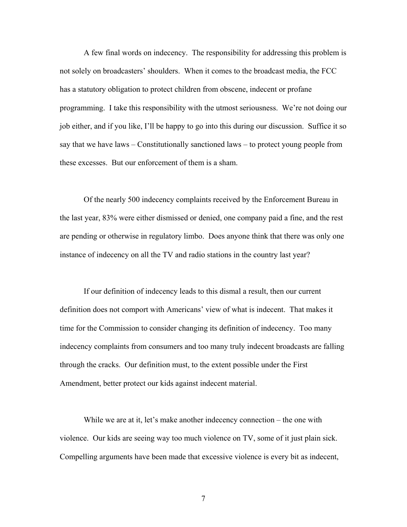A few final words on indecency. The responsibility for addressing this problem is not solely on broadcasters' shoulders. When it comes to the broadcast media, the FCC has a statutory obligation to protect children from obscene, indecent or profane programming. I take this responsibility with the utmost seriousness. We're not doing our job either, and if you like, I'll be happy to go into this during our discussion. Suffice it so say that we have laws – Constitutionally sanctioned laws – to protect young people from these excesses. But our enforcement of them is a sham.

Of the nearly 500 indecency complaints received by the Enforcement Bureau in the last year, 83% were either dismissed or denied, one company paid a fine, and the rest are pending or otherwise in regulatory limbo. Does anyone think that there was only one instance of indecency on all the TV and radio stations in the country last year?

If our definition of indecency leads to this dismal a result, then our current definition does not comport with Americans' view of what is indecent. That makes it time for the Commission to consider changing its definition of indecency. Too many indecency complaints from consumers and too many truly indecent broadcasts are falling through the cracks. Our definition must, to the extent possible under the First Amendment, better protect our kids against indecent material.

While we are at it, let's make another indecency connection – the one with violence. Our kids are seeing way too much violence on TV, some of it just plain sick. Compelling arguments have been made that excessive violence is every bit as indecent,